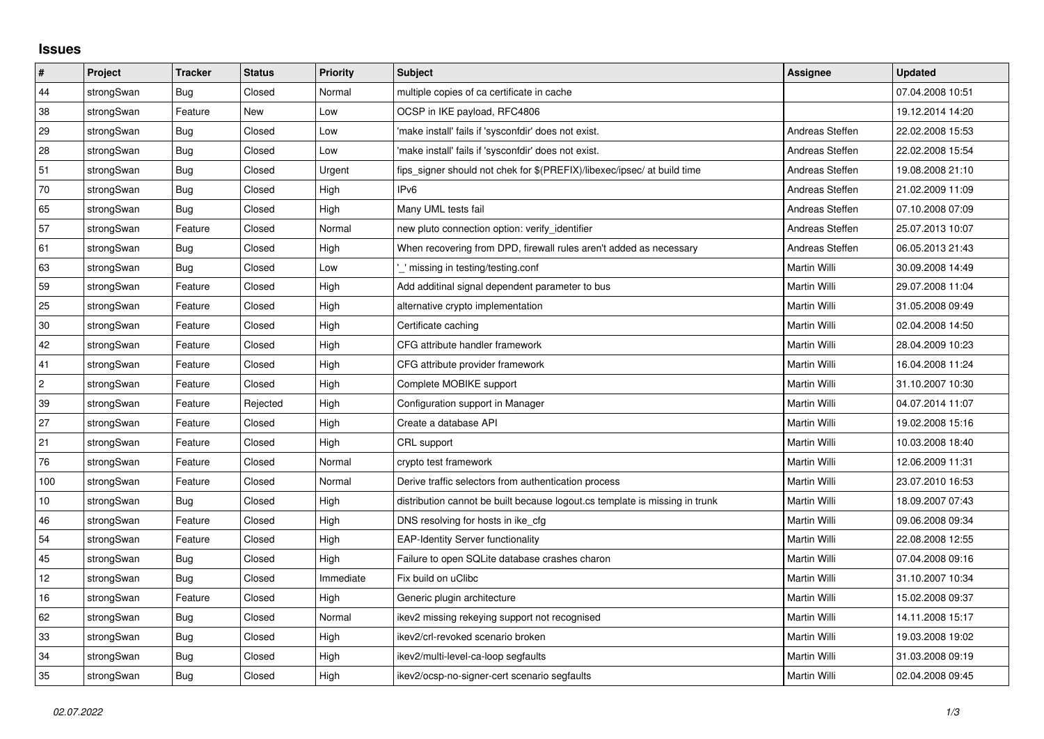## **Issues**

| $\vert$ #  | Project    | <b>Tracker</b> | <b>Status</b> | Priority  | <b>Subject</b>                                                              | <b>Assignee</b>     | <b>Updated</b>   |
|------------|------------|----------------|---------------|-----------|-----------------------------------------------------------------------------|---------------------|------------------|
| 44         | strongSwan | Bug            | Closed        | Normal    | multiple copies of ca certificate in cache                                  |                     | 07.04.2008 10:51 |
| 38         | strongSwan | Feature        | New           | Low       | OCSP in IKE payload, RFC4806                                                |                     | 19.12.2014 14:20 |
| 29         | strongSwan | Bug            | Closed        | Low       | 'make install' fails if 'sysconfdir' does not exist.                        | Andreas Steffen     | 22.02.2008 15:53 |
| 28         | strongSwan | <b>Bug</b>     | Closed        | Low       | 'make install' fails if 'sysconfdir' does not exist.                        | Andreas Steffen     | 22.02.2008 15:54 |
| 51         | strongSwan | <b>Bug</b>     | Closed        | Urgent    | fips_signer should not chek for \$(PREFIX)/libexec/ipsec/ at build time     | Andreas Steffen     | 19.08.2008 21:10 |
| 70         | strongSwan | Bug            | Closed        | High      | IP <sub>v6</sub>                                                            | Andreas Steffen     | 21.02.2009 11:09 |
| 65         | strongSwan | Bug            | Closed        | High      | Many UML tests fail                                                         | Andreas Steffen     | 07.10.2008 07:09 |
| 57         | strongSwan | Feature        | Closed        | Normal    | new pluto connection option: verify identifier                              | Andreas Steffen     | 25.07.2013 10:07 |
| 61         | strongSwan | Bug            | Closed        | High      | When recovering from DPD, firewall rules aren't added as necessary          | Andreas Steffen     | 06.05.2013 21:43 |
| 63         | strongSwan | <b>Bug</b>     | Closed        | Low       | missing in testing/testing.conf                                             | Martin Willi        | 30.09.2008 14:49 |
| 59         | strongSwan | Feature        | Closed        | High      | Add additinal signal dependent parameter to bus                             | Martin Willi        | 29.07.2008 11:04 |
| 25         | strongSwan | Feature        | Closed        | High      | alternative crypto implementation                                           | Martin Willi        | 31.05.2008 09:49 |
| 30         | strongSwan | Feature        | Closed        | High      | Certificate caching                                                         | Martin Willi        | 02.04.2008 14:50 |
| 42         | strongSwan | Feature        | Closed        | High      | CFG attribute handler framework                                             | Martin Willi        | 28.04.2009 10:23 |
| 41         | strongSwan | Feature        | Closed        | High      | CFG attribute provider framework                                            | <b>Martin Willi</b> | 16.04.2008 11:24 |
| $\sqrt{2}$ | strongSwan | Feature        | Closed        | High      | Complete MOBIKE support                                                     | Martin Willi        | 31.10.2007 10:30 |
| 39         | strongSwan | Feature        | Rejected      | High      | Configuration support in Manager                                            | Martin Willi        | 04.07.2014 11:07 |
| 27         | strongSwan | Feature        | Closed        | High      | Create a database API                                                       | Martin Willi        | 19.02.2008 15:16 |
| 21         | strongSwan | Feature        | Closed        | High      | CRL support                                                                 | Martin Willi        | 10.03.2008 18:40 |
| 76         | strongSwan | Feature        | Closed        | Normal    | crypto test framework                                                       | Martin Willi        | 12.06.2009 11:31 |
| 100        | strongSwan | Feature        | Closed        | Normal    | Derive traffic selectors from authentication process                        | Martin Willi        | 23.07.2010 16:53 |
| 10         | strongSwan | Bug            | Closed        | High      | distribution cannot be built because logout.cs template is missing in trunk | Martin Willi        | 18.09.2007 07:43 |
| 46         | strongSwan | Feature        | Closed        | High      | DNS resolving for hosts in ike_cfg                                          | Martin Willi        | 09.06.2008 09:34 |
| 54         | strongSwan | Feature        | Closed        | High      | <b>EAP-Identity Server functionality</b>                                    | Martin Willi        | 22.08.2008 12:55 |
| 45         | strongSwan | Bug            | Closed        | High      | Failure to open SQLite database crashes charon                              | Martin Willi        | 07.04.2008 09:16 |
| 12         | strongSwan | Bug            | Closed        | Immediate | Fix build on uClibc                                                         | Martin Willi        | 31.10.2007 10:34 |
| 16         | strongSwan | Feature        | Closed        | High      | Generic plugin architecture                                                 | Martin Willi        | 15.02.2008 09:37 |
| 62         | strongSwan | Bug            | Closed        | Normal    | ikev2 missing rekeying support not recognised                               | Martin Willi        | 14.11.2008 15:17 |
| 33         | strongSwan | Bug            | Closed        | High      | ikev2/crl-revoked scenario broken                                           | Martin Willi        | 19.03.2008 19:02 |
| 34         | strongSwan | Bug            | Closed        | High      | ikev2/multi-level-ca-loop segfaults                                         | Martin Willi        | 31.03.2008 09:19 |
| 35         | strongSwan | Bug            | Closed        | High      | ikev2/ocsp-no-signer-cert scenario segfaults                                | Martin Willi        | 02.04.2008 09:45 |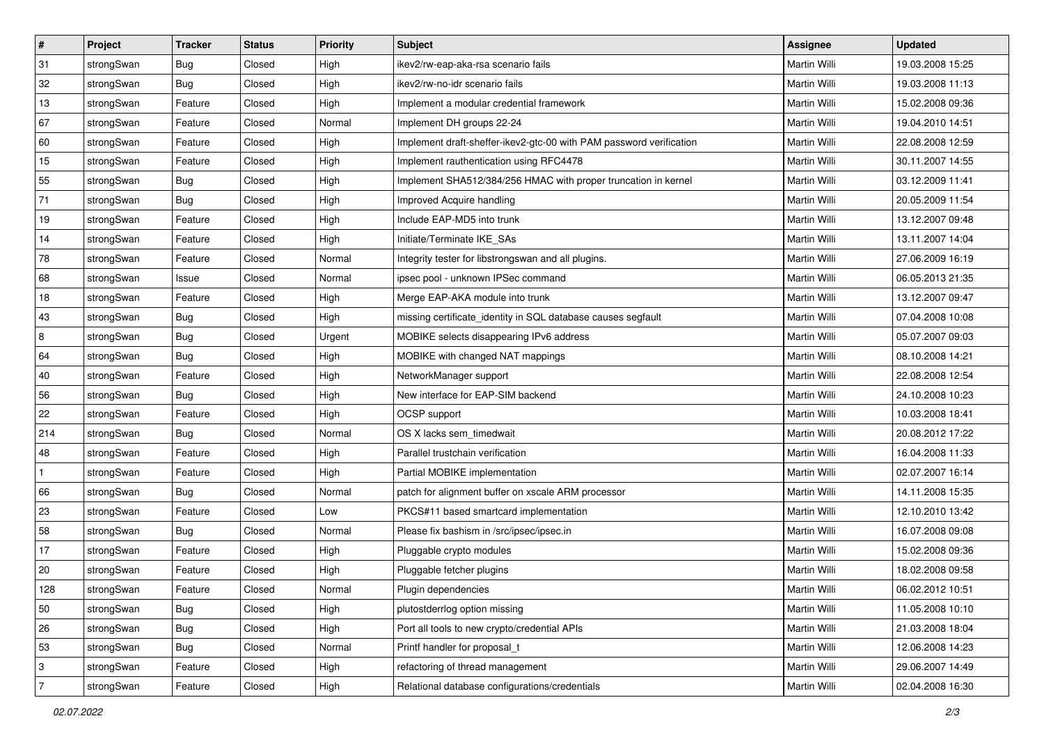| $\vert$ #      | Project    | <b>Tracker</b> | <b>Status</b> | <b>Priority</b> | <b>Subject</b>                                                      | Assignee            | <b>Updated</b>   |
|----------------|------------|----------------|---------------|-----------------|---------------------------------------------------------------------|---------------------|------------------|
| 31             | strongSwan | Bug            | Closed        | High            | ikev2/rw-eap-aka-rsa scenario fails                                 | Martin Willi        | 19.03.2008 15:25 |
| 32             | strongSwan | Bug            | Closed        | High            | ikev2/rw-no-idr scenario fails                                      | <b>Martin Willi</b> | 19.03.2008 11:13 |
| 13             | strongSwan | Feature        | Closed        | High            | Implement a modular credential framework                            | Martin Willi        | 15.02.2008 09:36 |
| 67             | strongSwan | Feature        | Closed        | Normal          | Implement DH groups 22-24                                           | Martin Willi        | 19.04.2010 14:51 |
| 60             | strongSwan | Feature        | Closed        | High            | Implement draft-sheffer-ikev2-gtc-00 with PAM password verification | Martin Willi        | 22.08.2008 12:59 |
| 15             | strongSwan | Feature        | Closed        | High            | Implement rauthentication using RFC4478                             | Martin Willi        | 30.11.2007 14:55 |
| 55             | strongSwan | Bug            | Closed        | High            | Implement SHA512/384/256 HMAC with proper truncation in kernel      | Martin Willi        | 03.12.2009 11:41 |
| 71             | strongSwan | Bug            | Closed        | High            | Improved Acquire handling                                           | Martin Willi        | 20.05.2009 11:54 |
| 19             | strongSwan | Feature        | Closed        | High            | Include EAP-MD5 into trunk                                          | Martin Willi        | 13.12.2007 09:48 |
| 14             | strongSwan | Feature        | Closed        | High            | Initiate/Terminate IKE_SAs                                          | Martin Willi        | 13.11.2007 14:04 |
| 78             | strongSwan | Feature        | Closed        | Normal          | Integrity tester for libstrongswan and all plugins.                 | Martin Willi        | 27.06.2009 16:19 |
| 68             | strongSwan | Issue          | Closed        | Normal          | ipsec pool - unknown IPSec command                                  | Martin Willi        | 06.05.2013 21:35 |
| 18             | strongSwan | Feature        | Closed        | High            | Merge EAP-AKA module into trunk                                     | <b>Martin Willi</b> | 13.12.2007 09:47 |
| 43             | strongSwan | Bug            | Closed        | High            | missing certificate_identity in SQL database causes segfault        | Martin Willi        | 07.04.2008 10:08 |
| $\overline{8}$ | strongSwan | Bug            | Closed        | Urgent          | MOBIKE selects disappearing IPv6 address                            | <b>Martin Willi</b> | 05.07.2007 09:03 |
| 64             | strongSwan | <b>Bug</b>     | Closed        | High            | MOBIKE with changed NAT mappings                                    | Martin Willi        | 08.10.2008 14:21 |
| 40             | strongSwan | Feature        | Closed        | High            | NetworkManager support                                              | <b>Martin Willi</b> | 22.08.2008 12:54 |
| 56             | strongSwan | Bug            | Closed        | High            | New interface for EAP-SIM backend                                   | Martin Willi        | 24.10.2008 10:23 |
| 22             | strongSwan | Feature        | Closed        | High            | OCSP support                                                        | Martin Willi        | 10.03.2008 18:41 |
| 214            | strongSwan | <b>Bug</b>     | Closed        | Normal          | OS X lacks sem_timedwait                                            | <b>Martin Willi</b> | 20.08.2012 17:22 |
| 48             | strongSwan | Feature        | Closed        | High            | Parallel trustchain verification                                    | Martin Willi        | 16.04.2008 11:33 |
| $\mathbf{1}$   | strongSwan | Feature        | Closed        | High            | Partial MOBIKE implementation                                       | Martin Willi        | 02.07.2007 16:14 |
| 66             | strongSwan | Bug            | Closed        | Normal          | patch for alignment buffer on xscale ARM processor                  | Martin Willi        | 14.11.2008 15:35 |
| 23             | strongSwan | Feature        | Closed        | Low             | PKCS#11 based smartcard implementation                              | Martin Willi        | 12.10.2010 13:42 |
| 58             | strongSwan | <b>Bug</b>     | Closed        | Normal          | Please fix bashism in /src/ipsec/ipsec.in                           | Martin Willi        | 16.07.2008 09:08 |
| 17             | strongSwan | Feature        | Closed        | High            | Pluggable crypto modules                                            | Martin Willi        | 15.02.2008 09:36 |
| $ 20\rangle$   | strongSwan | Feature        | Closed        | High            | Pluggable fetcher plugins                                           | Martin Willi        | 18.02.2008 09:58 |
| 128            | strongSwan | Feature        | Closed        | Normal          | Plugin dependencies                                                 | Martin Willi        | 06.02.2012 10:51 |
| 50             | strongSwan | Bug            | Closed        | High            | plutostderrlog option missing                                       | Martin Willi        | 11.05.2008 10:10 |
| 26             | strongSwan | Bug            | Closed        | High            | Port all tools to new crypto/credential APIs                        | Martin Willi        | 21.03.2008 18:04 |
| 53             | strongSwan | <b>Bug</b>     | Closed        | Normal          | Printf handler for proposal_t                                       | Martin Willi        | 12.06.2008 14:23 |
| 3              | strongSwan | Feature        | Closed        | High            | refactoring of thread management                                    | Martin Willi        | 29.06.2007 14:49 |
| $\overline{7}$ | strongSwan | Feature        | Closed        | High            | Relational database configurations/credentials                      | Martin Willi        | 02.04.2008 16:30 |